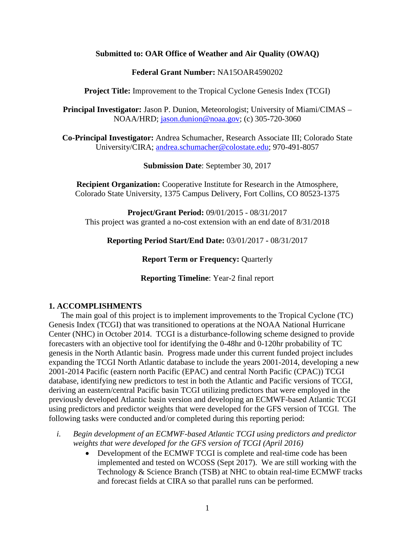#### **Submitted to: OAR Office of Weather and Air Quality (OWAQ)**

#### **Federal Grant Number:** NA15OAR4590202

**Project Title:** Improvement to the Tropical Cyclone Genesis Index (TCGI)

**Principal Investigator:** Jason P. Dunion, Meteorologist; University of Miami/CIMAS – NOAA/HRD; [jason.dunion@noaa.gov;](mailto:jason.dunion@noaa.gov) (c) 305-720-3060

**Co-Principal Investigator:** Andrea Schumacher, Research Associate III; Colorado State University/CIRA; [andrea.schumacher@colostate.edu;](mailto:andrea.schumacher@colostate.edu) 970-491-8057

**Submission Date**: September 30, 2017

**Recipient Organization:** Cooperative Institute for Research in the Atmosphere, Colorado State University, 1375 Campus Delivery, Fort Collins, CO 80523-1375

**Project/Grant Period:** 09/01/2015 - 08/31/2017 This project was granted a no-cost extension with an end date of 8/31/2018

**Reporting Period Start/End Date:** 03/01/2017 **-** 08/31/2017

**Report Term or Frequency: Quarterly** 

**Reporting Timeline**: Year-2 final report

#### **1. ACCOMPLISHMENTS**

The main goal of this project is to implement improvements to the Tropical Cyclone (TC) Genesis Index (TCGI) that was transitioned to operations at the NOAA National Hurricane Center (NHC) in October 2014. TCGI is a disturbance-following scheme designed to provide forecasters with an objective tool for identifying the 0-48hr and 0-120hr probability of TC genesis in the North Atlantic basin. Progress made under this current funded project includes expanding the TCGI North Atlantic database to include the years 2001-2014, developing a new 2001-2014 Pacific (eastern north Pacific (EPAC) and central North Pacific (CPAC)) TCGI database, identifying new predictors to test in both the Atlantic and Pacific versions of TCGI, deriving an eastern/central Pacific basin TCGI utilizing predictors that were employed in the previously developed Atlantic basin version and developing an ECMWF-based Atlantic TCGI using predictors and predictor weights that were developed for the GFS version of TCGI. The following tasks were conducted and/or completed during this reporting period:

- *i. Begin development of an ECMWF-based Atlantic TCGI using predictors and predictor weights that were developed for the GFS version of TCGI (April 2016)*
	- Development of the ECMWF TCGI is complete and real-time code has been implemented and tested on WCOSS (Sept 2017). We are still working with the Technology & Science Branch (TSB) at NHC to obtain real-time ECMWF tracks and forecast fields at CIRA so that parallel runs can be performed.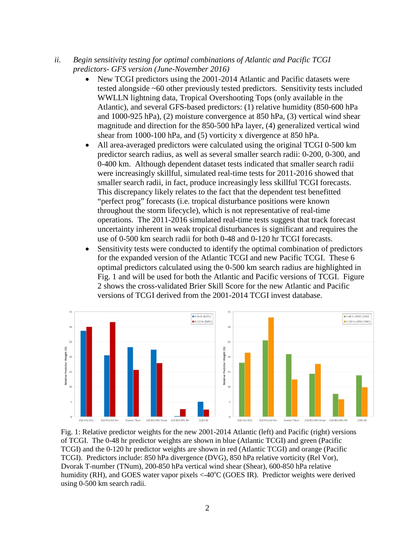- *ii. Begin sensitivity testing for optimal combinations of Atlantic and Pacific TCGI predictors- GFS version (June-November 2016)* 
	- New TCGI predictors using the 2001-2014 Atlantic and Pacific datasets were tested alongside ~60 other previously tested predictors. Sensitivity tests included WWLLN lightning data, Tropical Overshooting Tops (only available in the Atlantic), and several GFS-based predictors: (1) relative humidity (850-600 hPa and 1000-925 hPa), (2) moisture convergence at 850 hPa, (3) vertical wind shear magnitude and direction for the 850-500 hPa layer, (4) generalized vertical wind shear from 1000-100 hPa, and (5) vorticity x divergence at 850 hPa.
	- All area-averaged predictors were calculated using the original TCGI 0-500 km predictor search radius, as well as several smaller search radii: 0-200, 0-300, and 0-400 km. Although dependent dataset tests indicated that smaller search radii were increasingly skillful, simulated real-time tests for 2011-2016 showed that smaller search radii, in fact, produce increasingly less skillful TCGI forecasts. This discrepancy likely relates to the fact that the dependent test benefitted "perfect prog" forecasts (i.e. tropical disturbance positions were known throughout the storm lifecycle), which is not representative of real-time operations. The 2011-2016 simulated real-time tests suggest that track forecast uncertainty inherent in weak tropical disturbances is significant and requires the use of 0-500 km search radii for both 0-48 and 0-120 hr TCGI forecasts.
	- Sensitivity tests were conducted to identify the optimal combination of predictors for the expanded version of the Atlantic TCGI and new Pacific TCGI. These 6 optimal predictors calculated using the 0-500 km search radius are highlighted in Fig. 1 and will be used for both the Atlantic and Pacific versions of TCGI. Figure 2 shows the cross-validated Brier Skill Score for the new Atlantic and Pacific versions of TCGI derived from the 2001-2014 TCGI invest database.



Fig. 1: Relative predictor weights for the new 2001-2014 Atlantic (left) and Pacific (right) versions of TCGI. The 0-48 hr predictor weights are shown in blue (Atlantic TCGI) and green (Pacific TCGI) and the 0-120 hr predictor weights are shown in red (Atlantic TCGI) and orange (Pacific TCGI). Predictors include: 850 hPa divergence (DVG), 850 hPa relative vorticity (Rel Vor), Dvorak T-number (TNum), 200-850 hPa vertical wind shear (Shear), 600-850 hPa relative humidity (RH), and GOES water vapor pixels  $\langle -40^{\circ}$ C (GOES IR). Predictor weights were derived using 0-500 km search radii.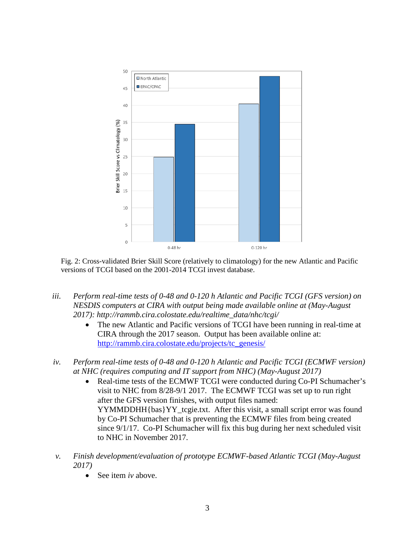

Fig. 2: Cross-validated Brier Skill Score (relatively to climatology) for the new Atlantic and Pacific versions of TCGI based on the 2001-2014 TCGI invest database.

- *iii. Perform real-time tests of 0-48 and 0-120 h Atlantic and Pacific TCGI (GFS version) on NESDIS computers at CIRA with output being made available online at (May-August 2017): http://rammb.cira.colostate.edu/realtime\_data/nhc/tcgi/*
	- The new Atlantic and Pacific versions of TCGI have been running in real-time at CIRA through the 2017 season. Output has been available online at: [http://rammb.cira.colostate.edu/projects/tc\\_genesis/](http://rammb.cira.colostate.edu/projects/tc_genesis/)
- *iv. Perform real-time tests of 0-48 and 0-120 h Atlantic and Pacific TCGI (ECMWF version) at NHC (requires computing and IT support from NHC) (May-August 2017)*
	- Real-time tests of the ECMWF TCGI were conducted during Co-PI Schumacher's visit to NHC from 8/28-9/1 2017. The ECMWF TCGI was set up to run right after the GFS version finishes, with output files named: YYMMDDHH{bas}YY\_tcgie.txt. After this visit, a small script error was found by Co-PI Schumacher that is preventing the ECMWF files from being created since 9/1/17. Co-PI Schumacher will fix this bug during her next scheduled visit to NHC in November 2017.
- *v. Finish development/evaluation of prototype ECMWF-based Atlantic TCGI (May-August 2017)*
	- See item *iv* above.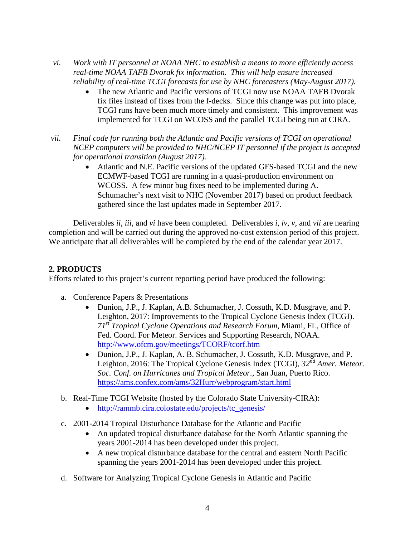- *vi. Work with IT personnel at NOAA NHC to establish a means to more efficiently access real-time NOAA TAFB Dvorak fix information. This will help ensure increased reliability of real-time TCGI forecasts for use by NHC forecasters (May-August 2017).* 
	- The new Atlantic and Pacific versions of TCGI now use NOAA TAFB Dvorak fix files instead of fixes from the f-decks. Since this change was put into place, TCGI runs have been much more timely and consistent. This improvement was implemented for TCGI on WCOSS and the parallel TCGI being run at CIRA.
- *vii. Final code for running both the Atlantic and Pacific versions of TCGI on operational NCEP computers will be provided to NHC/NCEP IT personnel if the project is accepted for operational transition (August 2017).*
	- Atlantic and N.E. Pacific versions of the updated GFS-based TCGI and the new ECMWF-based TCGI are running in a quasi-production environment on WCOSS. A few minor bug fixes need to be implemented during A. Schumacher's next visit to NHC (November 2017) based on product feedback gathered since the last updates made in September 2017.

Deliverables *ii*, *iii*, and *vi* have been completed. Deliverables *i*, *iv*, *v*, and *vii* are nearing completion and will be carried out during the approved no-cost extension period of this project. We anticipate that all deliverables will be completed by the end of the calendar year 2017.

# **2. PRODUCTS**

Efforts related to this project's current reporting period have produced the following:

- a. Conference Papers & Presentations
	- Dunion, J.P., J. Kaplan, A.B. Schumacher, J. Cossuth, K.D. Musgrave, and P. Leighton, 2017: Improvements to the Tropical Cyclone Genesis Index (TCGI). *71st Tropical Cyclone Operations and Research Forum*, Miami, FL, Office of Fed. Coord. For Meteor. Services and Supporting Research, NOAA. <http://www.ofcm.gov/meetings/TCORF/tcorf.htm>
	- Dunion, J.P., J. Kaplan, A. B. Schumacher, J. Cossuth, K.D. Musgrave, and P. Leighton, 2016: The Tropical Cyclone Genesis Index (TCGI), *32nd Amer. Meteor. Soc. Conf. on Hurricanes and Tropical Meteor.,* San Juan, Puerto Rico. <https://ams.confex.com/ams/32Hurr/webprogram/start.html>
- b. Real-Time TCGI Website (hosted by the Colorado State University-CIRA):
	- [http://rammb.cira.colostate.edu/projects/tc\\_genesis/](http://rammb.cira.colostate.edu/projects/tc_genesis/)
- c. 2001-2014 Tropical Disturbance Database for the Atlantic and Pacific
	- An updated tropical disturbance database for the North Atlantic spanning the years 2001-2014 has been developed under this project.
	- A new tropical disturbance database for the central and eastern North Pacific spanning the years 2001-2014 has been developed under this project.
- d. Software for Analyzing Tropical Cyclone Genesis in Atlantic and Pacific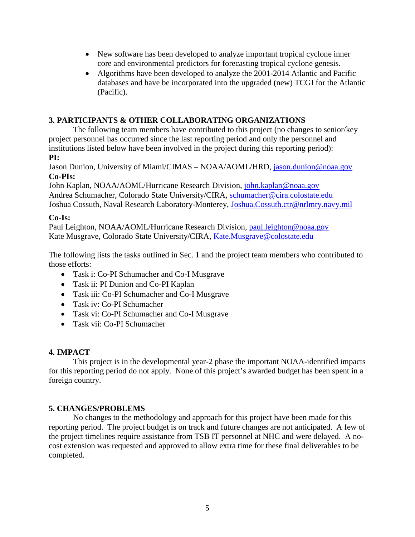- New software has been developed to analyze important tropical cyclone inner core and environmental predictors for forecasting tropical cyclone genesis.
- Algorithms have been developed to analyze the 2001-2014 Atlantic and Pacific databases and have be incorporated into the upgraded (new) TCGI for the Atlantic (Pacific).

### **3. PARTICIPANTS & OTHER COLLABORATING ORGANIZATIONS**

The following team members have contributed to this project (no changes to senior/key project personnel has occurred since the last reporting period and only the personnel and institutions listed below have been involved in the project during this reporting period): **PI:**

Jason Dunion, University of Miami/CIMAS – NOAA/AOML/HRD, [jason.dunion@noaa.gov](mailto:jason.dunion@noaa.gov) **Co-PIs:**

John Kaplan, NOAA/AOML/Hurricane Research Division, [john.kaplan@noaa.gov](mailto:john.kaplan@noaa.gov) Andrea Schumacher, Colorado State University/CIRA, [schumacher@cira.colostate.edu](mailto:schumacher@cira.colostate.edu) Joshua Cossuth, Naval Research Laboratory-Monterey, [Joshua.Cossuth.ctr@nrlmry.navy.mil](mailto:Joshua.Cossuth.ctr@nrlmry.navy.mil)

### **Co-Is:**

Paul Leighton, NOAA/AOML/Hurricane Research Division, [paul.leighton@noaa.gov](mailto:paul.leighton@noaa.gov) Kate Musgrave, Colorado State University/CIRA, [Kate.Musgrave@colostate.edu](mailto:Kate.Musgrave@colostate.edu)

The following lists the tasks outlined in Sec. 1 and the project team members who contributed to those efforts:

- Task i: Co-PI Schumacher and Co-I Musgrave
- Task ii: PI Dunion and Co-PI Kaplan
- Task iii: Co-PI Schumacher and Co-I Musgrave
- Task iv: Co-PI Schumacher
- Task vi: Co-PI Schumacher and Co-I Musgrave
- Task vii: Co-PI Schumacher

### **4. IMPACT**

This project is in the developmental year-2 phase the important NOAA-identified impacts for this reporting period do not apply. None of this project's awarded budget has been spent in a foreign country.

### **5. CHANGES/PROBLEMS**

No changes to the methodology and approach for this project have been made for this reporting period. The project budget is on track and future changes are not anticipated. A few of the project timelines require assistance from TSB IT personnel at NHC and were delayed. A nocost extension was requested and approved to allow extra time for these final deliverables to be completed.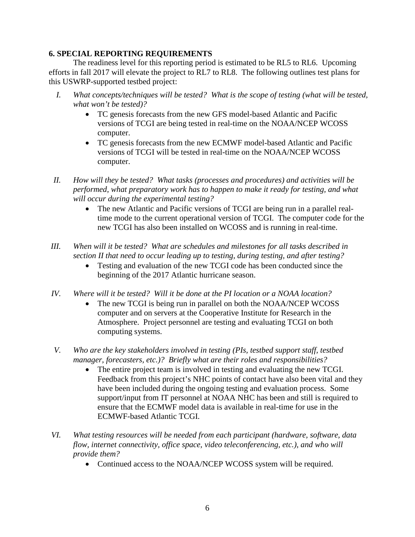### **6. SPECIAL REPORTING REQUIREMENTS**

The readiness level for this reporting period is estimated to be RL5 to RL6. Upcoming efforts in fall 2017 will elevate the project to RL7 to RL8. The following outlines test plans for this USWRP-supported testbed project:

- *I. What concepts/techniques will be tested? What is the scope of testing (what will be tested, what won't be tested)?*
	- TC genesis forecasts from the new GFS model-based Atlantic and Pacific versions of TCGI are being tested in real-time on the NOAA/NCEP WCOSS computer.
	- TC genesis forecasts from the new ECMWF model-based Atlantic and Pacific versions of TCGI will be tested in real-time on the NOAA/NCEP WCOSS computer.
- *II. How will they be tested? What tasks (processes and procedures) and activities will be performed, what preparatory work has to happen to make it ready for testing, and what will occur during the experimental testing?*
	- The new Atlantic and Pacific versions of TCGI are being run in a parallel realtime mode to the current operational version of TCGI. The computer code for the new TCGI has also been installed on WCOSS and is running in real-time.
- *III. When will it be tested? What are schedules and milestones for all tasks described in section II that need to occur leading up to testing, during testing, and after testing?*
	- Testing and evaluation of the new TCGI code has been conducted since the beginning of the 2017 Atlantic hurricane season.
- *IV. Where will it be tested? Will it be done at the PI location or a NOAA location?*
	- The new TCGI is being run in parallel on both the NOAA/NCEP WCOSS computer and on servers at the Cooperative Institute for Research in the Atmosphere. Project personnel are testing and evaluating TCGI on both computing systems.
- *V. Who are the key stakeholders involved in testing (PIs, testbed support staff, testbed manager, forecasters, etc.)? Briefly what are their roles and responsibilities?*
	- The entire project team is involved in testing and evaluating the new TCGI. Feedback from this project's NHC points of contact have also been vital and they have been included during the ongoing testing and evaluation process. Some support/input from IT personnel at NOAA NHC has been and still is required to ensure that the ECMWF model data is available in real-time for use in the ECMWF-based Atlantic TCGI.
- *VI. What testing resources will be needed from each participant (hardware, software, data flow, internet connectivity, office space, video teleconferencing, etc.), and who will provide them?*
	- Continued access to the NOAA/NCEP WCOSS system will be required.